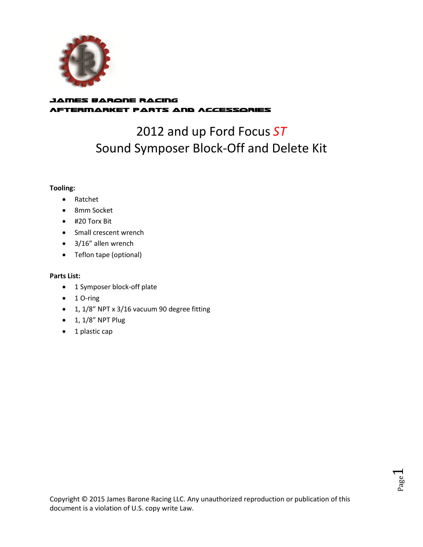

## James Barone Racing Aftermarket Parts and Accessories

## 2012 and up Ford Focus *ST* Sound Symposer Block-Off and Delete Kit

### **Tooling:**

- Ratchet
- 8mm Socket
- #20 Torx Bit
- Small crescent wrench
- 3/16" allen wrench
- Teflon tape (optional)

## **Parts List:**

- 1 Symposer block-off plate
- $\bullet$  1 O-ring
- 1, 1/8" NPT x 3/16 vacuum 90 degree fitting
- $\bullet$  1, 1/8" NPT Plug
- $\bullet$  1 plastic cap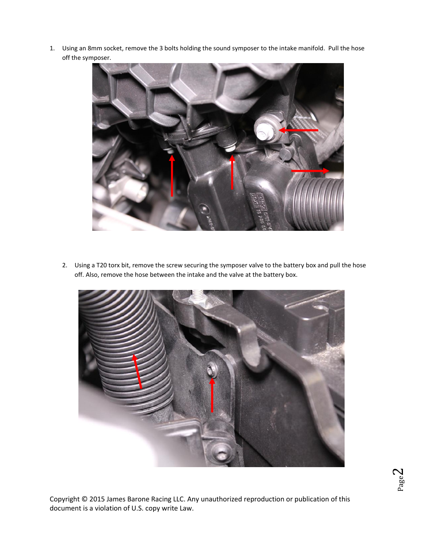1. Using an 8mm socket, remove the 3 bolts holding the sound symposer to the intake manifold. Pull the hose off the symposer.



2. Using a T20 torx bit, remove the screw securing the symposer valve to the battery box and pull the hose off. Also, remove the hose between the intake and the valve at the battery box.

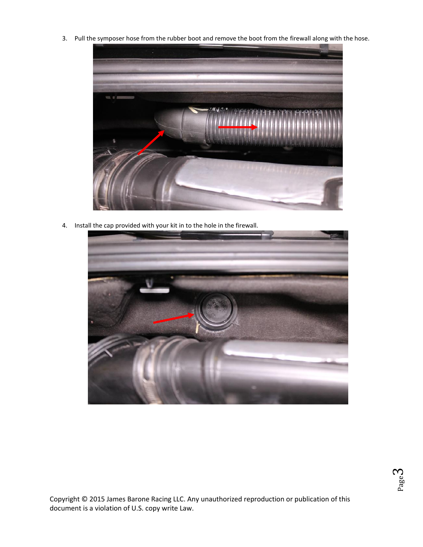3. Pull the symposer hose from the rubber boot and remove the boot from the firewall along with the hose.



4. Install the cap provided with your kit in to the hole in the firewall.



Page ო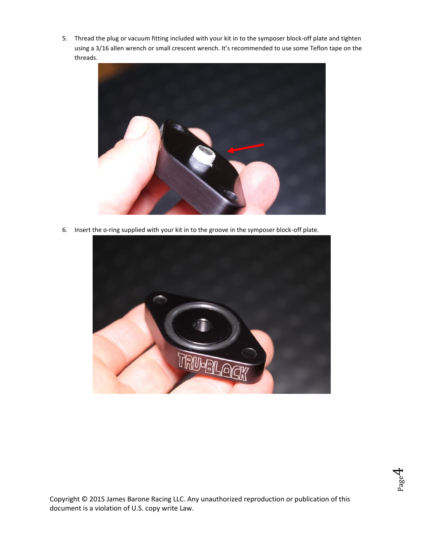5. Thread the plug or vacuum fitting included with your kit in to the symposer block-off plate and tighten using a 3/16 allen wrench or small crescent wrench. It's recommended to use some Teflon tape on the threads.



6. Insert the o-ring supplied with your kit in to the groove in the symposer block-off plate.



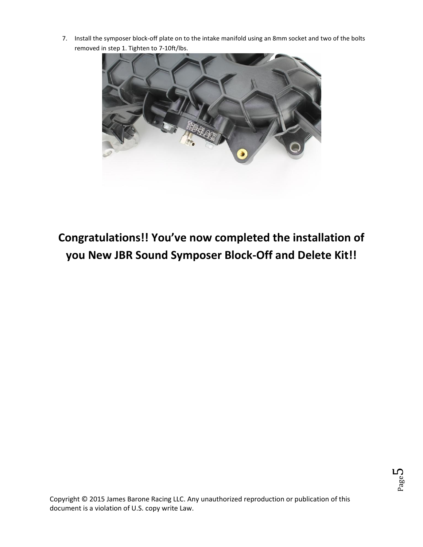7. Install the symposer block-off plate on to the intake manifold using an 8mm socket and two of the bolts removed in step 1. Tighten to 7-10ft/lbs.



# **Congratulations!! You've now completed the installation of you New JBR Sound Symposer Block-Off and Delete Kit!!**